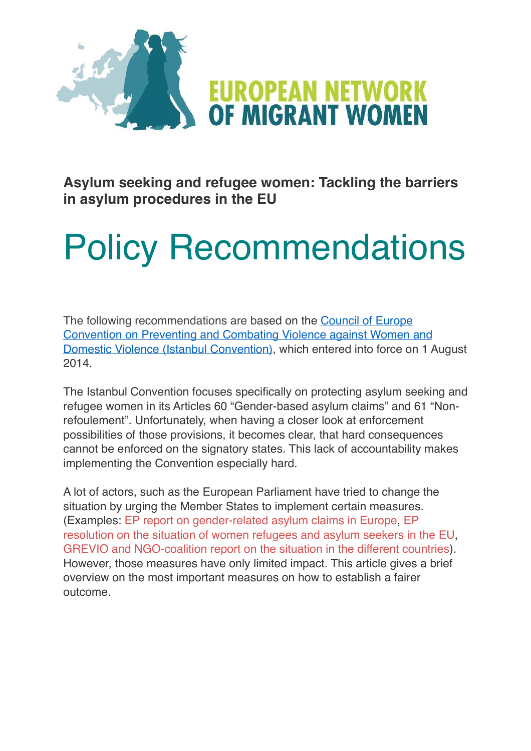

**Asylum seeking and refugee women: Tackling the barriers in asylum procedures in the EU**

# Policy Recommendations

The following recommendations are based on the [Council of Europe](https://www.coe.int/en/web/istanbul-convention/home)  [Convention on Preventing and Combating Violence against Women and](https://www.coe.int/en/web/istanbul-convention/home)  [Domestic Violence \(Istanbul Convention\)](https://www.coe.int/en/web/istanbul-convention/home), which entered into force on 1 August 2014.

The Istanbul Convention focuses specifically on protecting asylum seeking and refugee women in its Articles 60 "Gender-based asylum claims" and 61 "Nonrefoulement". Unfortunately, when having a closer look at enforcement possibilities of those provisions, it becomes clear, that hard consequences cannot be enforced on the signatory states. This lack of accountability makes implementing the Convention especially hard.

A lot of actors, such as the European Parliament have tried to change the situation by urging the Member States to implement certain measures. (Examples: [EP report on gender-related asylum claims in Europe](http://www.europarl.europa.eu/RegData/etudes/etudes/join/2012/462481/IPOL-FEMM_ET%25282012%2529462481_EN.pdf), [EP](http://www.europarl.europa.eu/sides/getDoc.do?pubRef=-//EP//TEXT+TA+P8-TA-2016-0073+0+DOC+XML+V0//EN)  [resolution on the situation of women refugees and asylum seekers in the EU,](http://www.europarl.europa.eu/sides/getDoc.do?pubRef=-//EP//TEXT+TA+P8-TA-2016-0073+0+DOC+XML+V0//EN) [GREVIO and NGO-coalition report on the situation in the different countries](https://www.coe.int/en/web/istanbul-convention/country-monitoring-work)). However, those measures have only limited impact. This article gives a brief overview on the most important measures on how to establish a fairer outcome.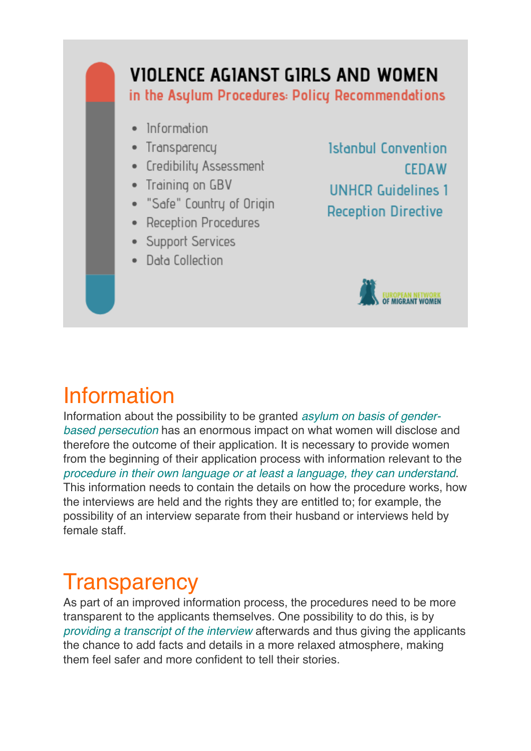#### VIOLENCE AGIANST GIRLS AND WOMEN

in the Asylum Procedures: Policy Recommendations

- · Information
- Transparency
- Credibility Assessment
- Training on GBV
- · "Safe" Country of Origin
- Reception Procedures
- Support Services
- Data Collection

Istanbul Convention **CEDAW UNHCR Guidelines 1 Reception Directive** 



### Information

Information about the possibility to be granted *asylum on basis of genderbased persecution* has an enormous impact on what women will disclose and therefore the outcome of their application. It is necessary to provide women from the beginning of their application process with information relevant to the *procedure in their own language or at least a language, they can understand*. This information needs to contain the details on how the procedure works, how the interviews are held and the rights they are entitled to; for example, the possibility of an interview separate from their husband or interviews held by female staff.

#### **Transparency**

As part of an improved information process, the procedures need to be more transparent to the applicants themselves. One possibility to do this, is by *providing a transcript of the interview* afterwards and thus giving the applicants the chance to add facts and details in a more relaxed atmosphere, making them feel safer and more confident to tell their stories.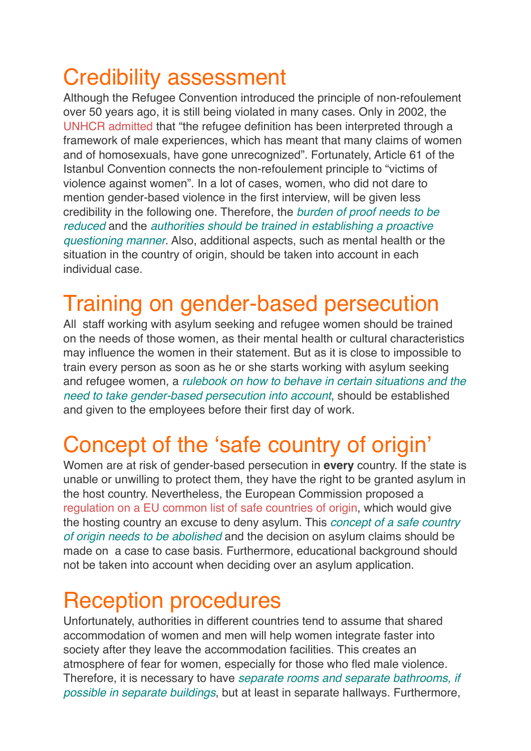# Credibility assessment

Although the Refugee Convention introduced the principle of non-refoulement over 50 years ago, it is still being violated in many cases. Only in 2002, the [UNHCR admitted](https://www.unhcr.org/3d58ddef4.pdf) that "the refugee definition has been interpreted through a framework of male experiences, which has meant that many claims of women and of homosexuals, have gone unrecognized". Fortunately, Article 61 of the Istanbul Convention connects the non-refoulement principle to "victims of violence against women". In a lot of cases, women, who did not dare to mention gender-based violence in the first interview, will be given less credibility in the following one. Therefore, the *burden of proof needs to be reduced* and the *authorities should be trained in establishing a proactive questioning manner*. Also, additional aspects, such as mental health or the situation in the country of origin, should be taken into account in each individual case.

## Training on gender-based persecution

All staff working with asylum seeking and refugee women should be trained on the needs of those women, as their mental health or cultural characteristics may influence the women in their statement. But as it is close to impossible to train every person as soon as he or she starts working with asylum seeking and refugee women, a *rulebook on how to behave in certain situations and the need to take gender-based persecution into account*, should be established and given to the employees before their first day of work.

# Concept of the 'safe country of origin'

Women are at risk of gender-based persecution in **every** country. If the state is unable or unwilling to protect them, they have the right to be granted asylum in the host country. Nevertheless, the European Commission proposed a [regulation on a EU common list of safe countries of origin](http://www.europarl.europa.eu/RegData/docs_autres_institutions/commission_europeenne/com/2015/0452/COM_COM(2015)0452(ANN)_EN.pdf), which would give the hosting country an excuse to deny asylum. This *concept of a safe country of origin needs to be abolished* and the decision on asylum claims should be made on a case to case basis. Furthermore, educational background should not be taken into account when deciding over an asylum application.

#### Reception procedures

Unfortunately, authorities in different countries tend to assume that shared accommodation of women and men will help women integrate faster into society after they leave the accommodation facilities. This creates an atmosphere of fear for women, especially for those who fled male violence. Therefore, it is necessary to have *separate rooms and separate bathrooms, if possible in separate buildings*, but at least in separate hallways. Furthermore,